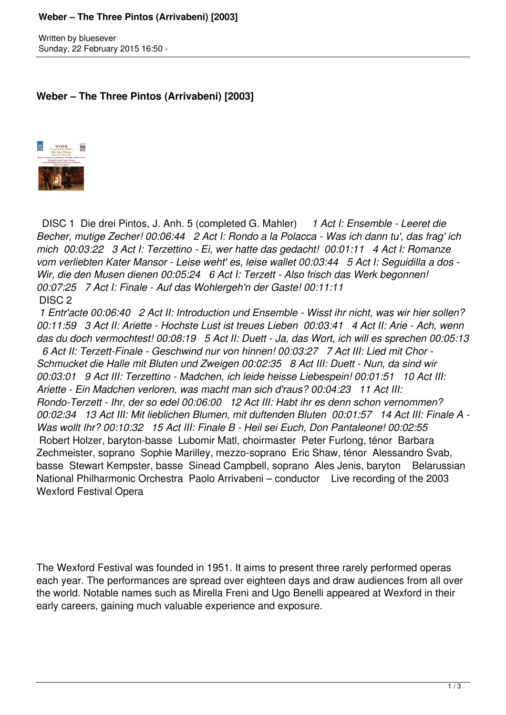## **Weber – The Three Pintos (Arrivabeni) [2003]**

Written by bluesever Sunday, 22 February 2015 16:50 -

## **Weber – The Three Pintos (Arrivabeni) [2003]**



 DISC 1 Die drei Pintos, J. Anh. 5 (completed G. Mahler) *1 Act I: Ensemble - Leeret die Becher, mutige Zecher! 00:06:44 2 Act I: Rondo a la Polacca - Was ich dann tu', das frag' ich mich 00:03:22 3 Act I: Terzettino - Ei, wer hatte das gedacht! 00:01:11 4 Act I: Romanze vom verliebten Kater Mansor - Leise weht' es, leise wallet 00:03:44 5 Act I: Seguidilla a dos - Wir, die den Musen dienen 00:05:24 6 Act I: Terzett - Also frisch das Werk begonnen! 00:07:25 7 Act I: Finale - Auf das Wohlergeh'n der Gaste! 00:11:11*  DISC 2

 *1 Entr'acte 00:06:40 2 Act II: Introduction und Ensemble - Wisst ihr nicht, was wir hier sollen? 00:11:59 3 Act II: Ariette - Hochste Lust ist treues Lieben 00:03:41 4 Act II: Arie - Ach, wenn das du doch vermochtest! 00:08:19 5 Act II: Duett - Ja, das Wort, ich will es sprechen 00:05:13*

 *6 Act II: Terzett-Finale - Geschwind nur von hinnen! 00:03:27 7 Act III: Lied mit Chor - Schmucket die Halle mit Bluten und Zweigen 00:02:35 8 Act III: Duett - Nun, da sind wir 00:03:01 9 Act III: Terzettino - Madchen, ich leide heisse Liebespein! 00:01:51 10 Act III: Ariette - Ein Madchen verloren, was macht man sich d'raus? 00:04:23 11 Act III: Rondo-Terzett - Ihr, der so edel 00:06:00 12 Act III: Habt ihr es denn schon vernommen? 00:02:34 13 Act III: Mit lieblichen Blumen, mit duftenden Bluten 00:01:57 14 Act III: Finale A - Was wollt Ihr? 00:10:32 15 Act III: Finale B - Heil sei Euch, Don Pantaleone! 00:02:55*  Robert Holzer, baryton-basse Lubomir Matl, choirmaster Peter Furlong, ténor Barbara Zechmeister, soprano Sophie Marilley, mezzo-soprano Eric Shaw, ténor Alessandro Svab, basse Stewart Kempster, basse Sinead Campbell, soprano Ales Jenis, baryton Belarussian National Philharmonic Orchestra Paolo Arrivabeni – conductor Live recording of the 2003 Wexford Festival Opera

The Wexford Festival was founded in 1951. It aims to present three rarely performed operas each year. The performances are spread over eighteen days and draw audiences from all over the world. Notable names such as Mirella Freni and Ugo Benelli appeared at Wexford in their early careers, gaining much valuable experience and exposure.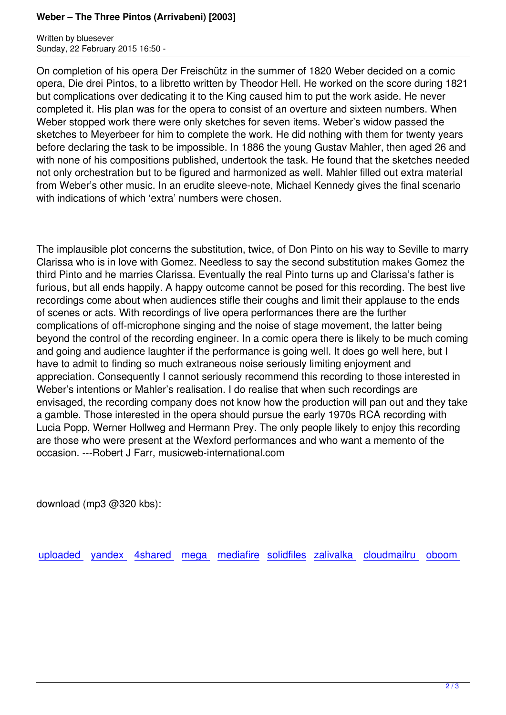Written by blueseverseversels and the blueseversels of the blueseversels and the blueseversels of the bluesever Sunday, 22 February 2015 16:50 -

On completion of his opera Der Freischütz in the summer of 1820 Weber decided on a comic opera, Die drei Pintos, to a libretto written by Theodor Hell. He worked on the score during 1821 but complications over dedicating it to the King caused him to put the work aside. He never completed it. His plan was for the opera to consist of an overture and sixteen numbers. When Weber stopped work there were only sketches for seven items. Weber's widow passed the sketches to Meyerbeer for him to complete the work. He did nothing with them for twenty years before declaring the task to be impossible. In 1886 the young Gustav Mahler, then aged 26 and with none of his compositions published, undertook the task. He found that the sketches needed not only orchestration but to be figured and harmonized as well. Mahler filled out extra material from Weber's other music. In an erudite sleeve-note, Michael Kennedy gives the final scenario with indications of which 'extra' numbers were chosen.

The implausible plot concerns the substitution, twice, of Don Pinto on his way to Seville to marry Clarissa who is in love with Gomez. Needless to say the second substitution makes Gomez the third Pinto and he marries Clarissa. Eventually the real Pinto turns up and Clarissa's father is furious, but all ends happily. A happy outcome cannot be posed for this recording. The best live recordings come about when audiences stifle their coughs and limit their applause to the ends of scenes or acts. With recordings of live opera performances there are the further complications of off-microphone singing and the noise of stage movement, the latter being beyond the control of the recording engineer. In a comic opera there is likely to be much coming and going and audience laughter if the performance is going well. It does go well here, but I have to admit to finding so much extraneous noise seriously limiting enjoyment and appreciation. Consequently I cannot seriously recommend this recording to those interested in Weber's intentions or Mahler's realisation. I do realise that when such recordings are envisaged, the recording company does not know how the production will pan out and they take a gamble. Those interested in the opera should pursue the early 1970s RCA recording with Lucia Popp, Werner Hollweg and Hermann Prey. The only people likely to enjoy this recording are those who were present at the Wexford performances and who want a memento of the occasion. ---Robert J Farr, musicweb-international.com

download (mp3 @320 kbs):

uploaded yandex 4shared mega mediafire solidfiles zalivalka cloudmailru oboom